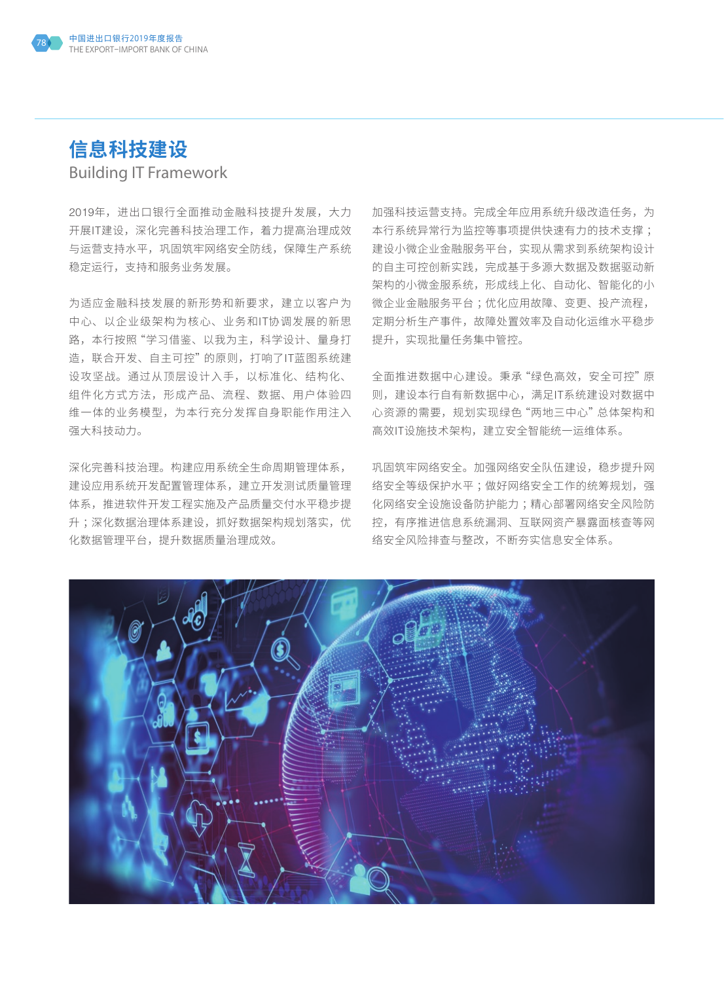

## **信息科技建设** Building IT Framework

2019年,进出口银行全面推动金融科技提升发展,大力 开展IT建设,深化完善科技治理工作,着力提高治理成效 与运营支持水平,巩固筑牢网络安全防线,保障生产系统 稳定运行,支持和服务业务发展。

为适应金融科技发展的新形势和新要求,建立以客户为 中心、以企业级架构为核心、业务和IT协调发展的新思 路,本行按照"学习借鉴、以我为主,科学设计、量身打 造,联合开发、自主可控"的原则,打响了IT蓝图系统建 设攻坚战。通过从顶层设计入手,以标准化、结构化、 组件化方式方法,形成产品、流程、数据、用户体验四 维一体的业务模型,为本行充分发挥自身职能作用注入 强大科技动力。

深化完善科技治理。构建应用系统全生命周期管理体系, 建设应用系统开发配置管理体系,建立开发测试质量管理 体系,推进软件开发工程实施及产品质量交付水平稳步提 升;深化数据治理体系建设,抓好数据架构规划落实,优 化数据管理平台,提升数据质量治理成效。

加强科技运营支持。完成全年应用系统升级改造任务,为 本行系统异常行为监控等事项提供快速有力的技术支撑 ; 建设小微企业金融服务平台,实现从需求到系统架构设计 的自主可控创新实践,完成基于多源大数据及数据驱动新 架构的小微金服系统,形成线上化、自动化、智能化的小 微企业金融服务平台 ;优化应用故障、变更、投产流程, 定期分析生产事件,故障处置效率及自动化运维水平稳步 提升,实现批量任务集中管控。

全面推进数据中心建设。秉承"绿色高效,安全可控"原 则,建设本行自有新数据中心,满足IT系统建设对数据中 心资源的需要,规划实现绿色"两地三中心"总体架构和 高效IT设施技术架构,建立安全智能统一运维体系。

巩固筑牢网络安全。加强网络安全队伍建设,稳步提升网 络安全等级保护水平;做好网络安全工作的统筹规划,强 化网络安全设施设备防护能力 ;精心部署网络安全风险防 控,有序推进信息系统漏洞、互联网资产暴露面核查等网 络安全风险排查与整改,不断夯实信息安全体系。